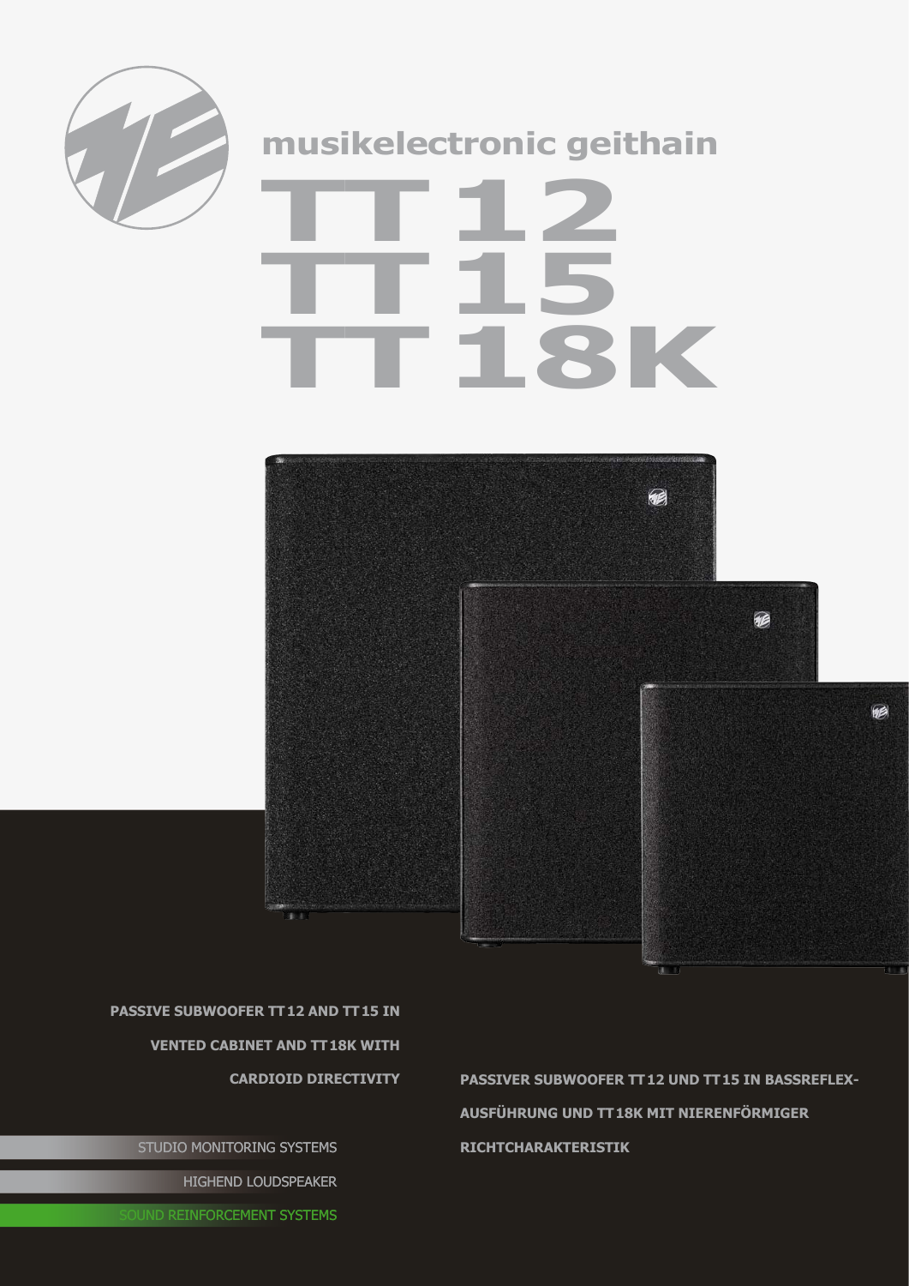

## **musikelectronic geithain**

## **TT12 TT15 TT18K**



**passive Subwoofer TT12 and TT15 in vented cabinet and tt 18K with** 

STUDIO MONITORING SYSTEMS HIGHEND LOUDSPEAKER

**cardioid directivity passiveR Subwoofer TT12 und TT15 In Bassreflex-Ausführung und TT18K mit nierenförmiger Richtcharakteristik**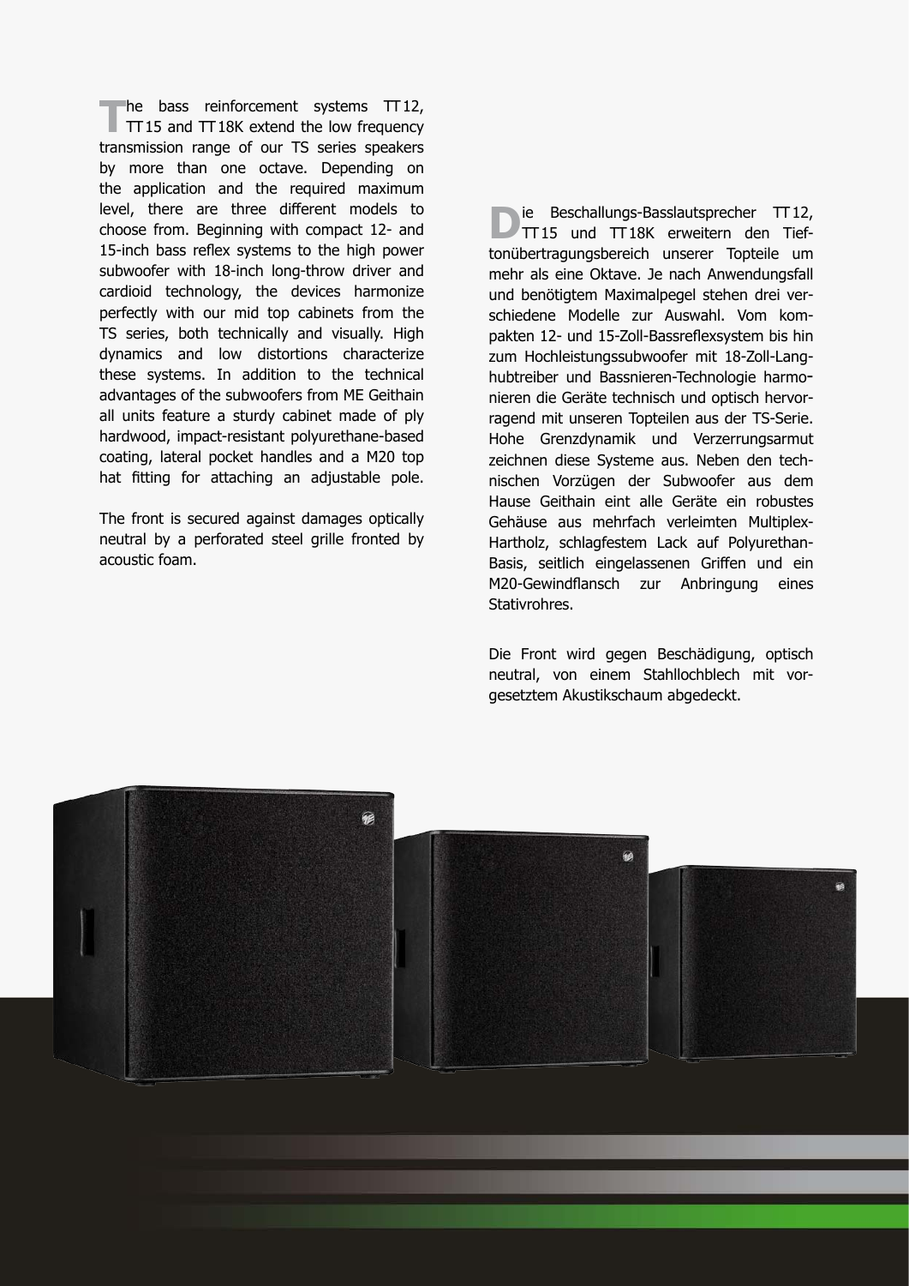The bass reinforcement systems TT12,<br>TT15 and TT18K extend the low frequency transmission range of our TS series speakers by more than one octave. Depending on the application and the required maximum level, there are three different models to choose from. Beginning with compact 12- and 15-inch bass reflex systems to the high power subwoofer with 18-inch long-throw driver and cardioid technology, the devices harmonize perfectly with our mid top cabinets from the TS series, both technically and visually. High dynamics and low distortions characterize these systems. In addition to the technical advantages of the subwoofers from ME Geithain all units feature a sturdy cabinet made of ply hardwood, impact-resistant polyurethane-based coating, lateral pocket handles and a M20 top hat fitting for attaching an adjustable pole.

The front is secured against damages optically neutral by a perforated steel grille fronted by acoustic foam.

**D**ie Beschallungs-Basslautsprecher TT12,<br>TT15 und TT18K erweitern den Tieftonübertragungsbereich unserer Topteile um mehr als eine Oktave. Je nach Anwendungsfall und benötigtem Maximalpegel stehen drei verschiedene Modelle zur Auswahl. Vom kom pakten 12- und 15-Zoll-Bassreflexsystem bis hin zum Hochleistungssubwoofer mit 18-Zoll-Langhubtreiber und Bassnieren-Technologie harmonieren die Geräte technisch und optisch hervorragend mit unseren Topteilen aus der TS-Serie. Hohe Grenzdynamik und Verzerrungsarmut zeichnen diese Systeme aus. Neben den technischen Vorzügen der Subwoofer aus dem Hause Geithain eint alle Geräte ein robustes Gehäuse aus mehrfach verleimten Multiplex-Hartholz, schlagfestem Lack auf Polyurethan-Basis, seitlich eingelassenen Griffen und ein M20-Gewindflansch zur Anbringung eines Stativrohres.

Die Front wird gegen Beschädigung, optisch neutral, von einem Stahllochblech mit vorgesetztem Akustikschaum abgedeckt.

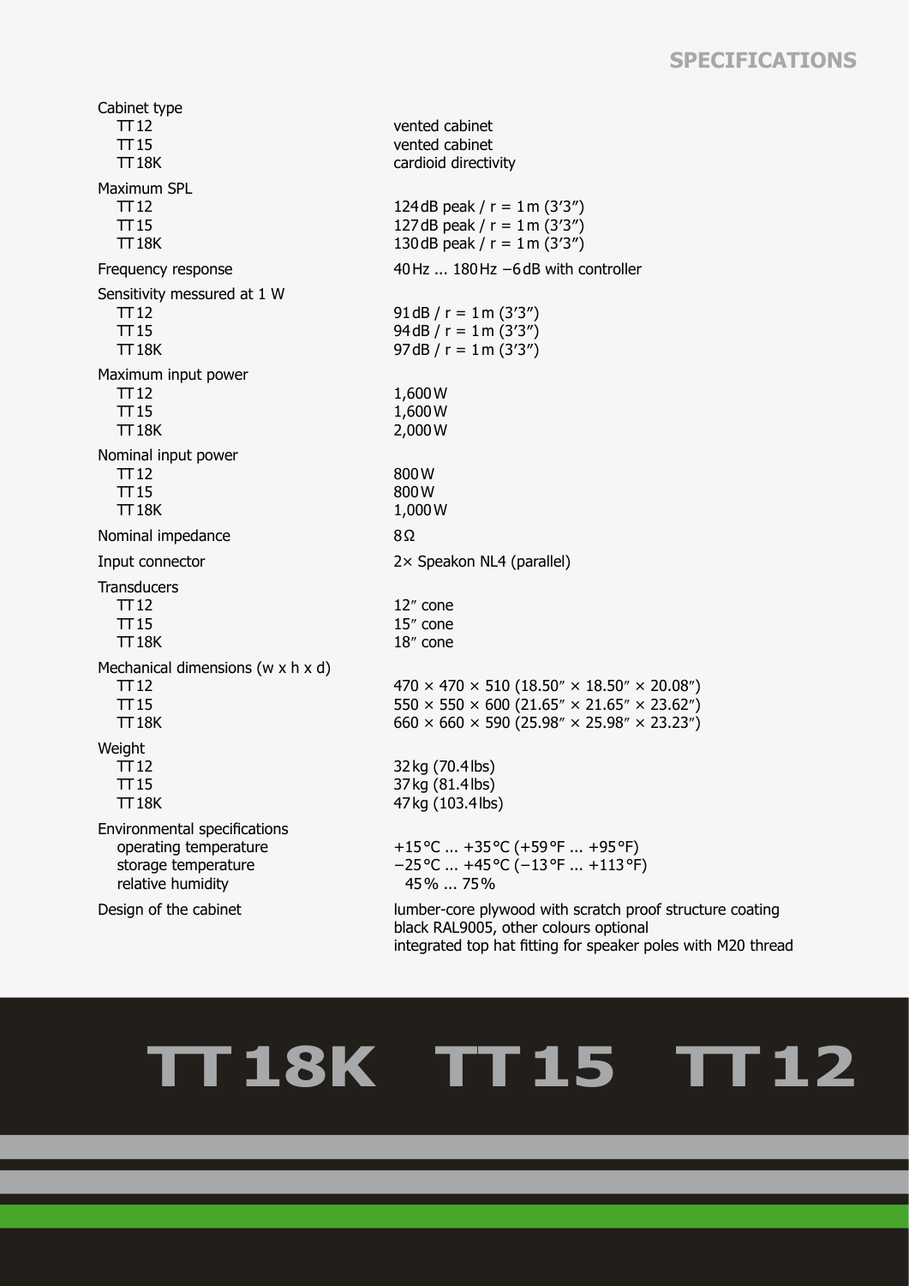## **SPECIFICATIONS**

Cabinet type TT12 TT15 TT18K vented cabinet vented cabinet cardioid directivity Maximum SPL TT12 TT15 TT18K 124dB peak /  $r = 1$  m (3'3") 127dB peak /  $r = 1$  m (3'3") 130dB peak /  $r = 1$  m (3'3") Frequency response 40Hz ... 180Hz −6dB with controller Sensitivity messured at 1 W TT12 TT15 TT18K 91dB /  $r = 1$  m (3'3") 94dB / r = 1m (3′3″) 97dB /  $r = 1$  m (3'3") Maximum input power TT12 TT15 TT18K 1,600W 1,600W 2,000W Nominal input power TT12 TT15 TT18K 800W 800W 1,000W Nominal impedance 8Ω Input connector 2× Speakon NL4 (parallel) **Transducers**  TT12 TT15 TT18K 12″ cone 15″ cone 18″ cone Mechanical dimensions (w x h x d) TT12 TT15 TT18K  $470 \times 470 \times 510$  (18.50" × 18.50" × 20.08")  $550 \times 550 \times 600 (21.65" \times 21.65" \times 23.62")$  $660 \times 660 \times 590 (25.98" \times 25.98" \times 23.23")$ **Weight**  TT12 TT15 TT18K 32kg (70.4lbs) 37kg (81.4lbs) 47kg (103.4lbs) Environmental specifications operating temperature storage temperature relative humidity +15°C ... +35°C (+59°F ... +95°F) −25°C ... +45°C (−13°F ... +113°F) 45% ... 75% Design of the cabinet lumber-core plywood with scratch proof structure coating black RAL9005, other colours optional

## **TT18K TT15 TT12**

integrated top hat fitting for speaker poles with M20 thread